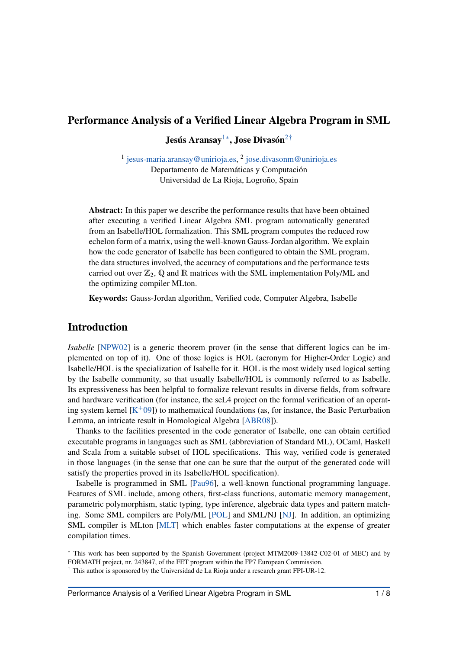## <span id="page-0-0"></span>Performance Analysis of a Verified Linear Algebra Program in SML

<span id="page-0-2"></span>Jesús Aransay $^{1*}$  $^{1*}$  $^{1*}$ , Jose Divasón $^{2\dagger}$  $^{2\dagger}$  $^{2\dagger}$ 

<sup>1</sup> [jesus-maria.aransay@unirioja.es,](mailto:jesus-maria.aransay@unirioja.es) <sup>2</sup> [jose.divasonm@unirioja.es](mailto:jose.divasonm@unirioja.es) Departamento de Matemáticas y Computación Universidad de La Rioja, Logroño, Spain

Abstract: In this paper we describe the performance results that have been obtained after executing a verified Linear Algebra SML program automatically generated from an Isabelle/HOL formalization. This SML program computes the reduced row echelon form of a matrix, using the well-known Gauss-Jordan algorithm. We explain how the code generator of Isabelle has been configured to obtain the SML program, the data structures involved, the accuracy of computations and the performance tests carried out over  $\mathbb{Z}_2$ , Q and R matrices with the SML implementation Poly/ML and the optimizing compiler MLton.

Keywords: Gauss-Jordan algorithm, Verified code, Computer Algebra, Isabelle

## Introduction

*Isabelle* [\[NPW02\]](#page-7-0) is a generic theorem prover (in the sense that different logics can be implemented on top of it). One of those logics is HOL (acronym for Higher-Order Logic) and Isabelle/HOL is the specialization of Isabelle for it. HOL is the most widely used logical setting by the Isabelle community, so that usually Isabelle/HOL is commonly referred to as Isabelle. Its expressiveness has been helpful to formalize relevant results in diverse fields, from software and hardware verification (for instance, the seL4 project on the formal verification of an operating system kernel  $[K^+09]$  $[K^+09]$ ) to mathematical foundations (as, for instance, the Basic Perturbation Lemma, an intricate result in Homological Algebra [\[ABR08\]](#page-7-2)).

Thanks to the facilities presented in the code generator of Isabelle, one can obtain certified executable programs in languages such as SML (abbreviation of Standard ML), OCaml, Haskell and Scala from a suitable subset of HOL specifications. This way, verified code is generated in those languages (in the sense that one can be sure that the output of the generated code will satisfy the properties proved in its Isabelle/HOL specification).

Isabelle is programmed in SML [\[Pau96\]](#page-7-3), a well-known functional programming language. Features of SML include, among others, first-class functions, automatic memory management, parametric polymorphism, static typing, type inference, algebraic data types and pattern matching. Some SML compilers are Poly/ML [\[POL\]](#page-7-4) and SML/NJ [\[NJ\]](#page-7-5). In addition, an optimizing SML compiler is MLton [\[MLT\]](#page-7-6) which enables faster computations at the expense of greater compilation times.

<span id="page-0-1"></span><sup>∗</sup> This work has been supported by the Spanish Government (project MTM2009-13842-C02-01 of MEC) and by FORMATH project, nr. 243847, of the FET program within the FP7 European Commission.

<span id="page-0-3"></span><sup>&</sup>lt;sup> $\dagger$ </sup> This author is sponsored by the Universidad de La Rioja under a research grant FPI-UR-12.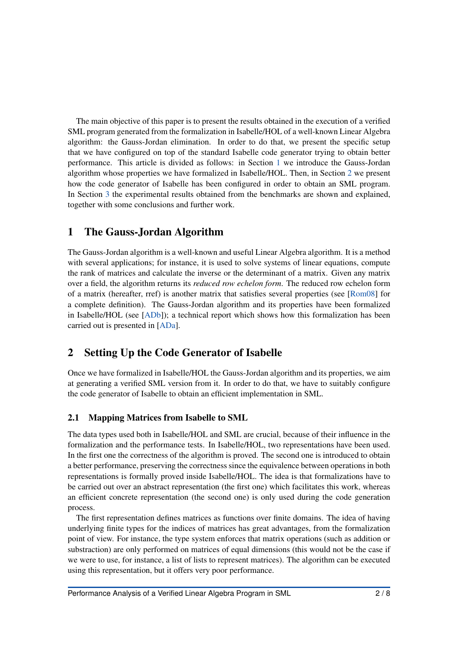The main objective of this paper is to present the results obtained in the execution of a verified SML program generated from the formalization in Isabelle/HOL of a well-known Linear Algebra algorithm: the Gauss-Jordan elimination. In order to do that, we present the specific setup that we have configured on top of the standard Isabelle code generator trying to obtain better performance. This article is divided as follows: in Section [1](#page-1-0) we introduce the Gauss-Jordan algorithm whose properties we have formalized in Isabelle/HOL. Then, in Section [2](#page-1-1) we present how the code generator of Isabelle has been configured in order to obtain an SML program. In Section [3](#page-3-0) the experimental results obtained from the benchmarks are shown and explained, together with some conclusions and further work.

## <span id="page-1-0"></span>1 The Gauss-Jordan Algorithm

The Gauss-Jordan algorithm is a well-known and useful Linear Algebra algorithm. It is a method with several applications; for instance, it is used to solve systems of linear equations, compute the rank of matrices and calculate the inverse or the determinant of a matrix. Given any matrix over a field, the algorithm returns its *reduced row echelon form*. The reduced row echelon form of a matrix (hereafter, rref) is another matrix that satisfies several properties (see [\[Rom08\]](#page-7-7) for a complete definition). The Gauss-Jordan algorithm and its properties have been formalized in Isabelle/HOL (see [\[ADb\]](#page-7-8)); a technical report which shows how this formalization has been carried out is presented in [\[ADa\]](#page-7-9).

# <span id="page-1-1"></span>2 Setting Up the Code Generator of Isabelle

Once we have formalized in Isabelle/HOL the Gauss-Jordan algorithm and its properties, we aim at generating a verified SML version from it. In order to do that, we have to suitably configure the code generator of Isabelle to obtain an efficient implementation in SML.

### 2.1 Mapping Matrices from Isabelle to SML

The data types used both in Isabelle/HOL and SML are crucial, because of their influence in the formalization and the performance tests. In Isabelle/HOL, two representations have been used. In the first one the correctness of the algorithm is proved. The second one is introduced to obtain a better performance, preserving the correctness since the equivalence between operations in both representations is formally proved inside Isabelle/HOL. The idea is that formalizations have to be carried out over an abstract representation (the first one) which facilitates this work, whereas an efficient concrete representation (the second one) is only used during the code generation process.

The first representation defines matrices as functions over finite domains. The idea of having underlying finite types for the indices of matrices has great advantages, from the formalization point of view. For instance, the type system enforces that matrix operations (such as addition or substraction) are only performed on matrices of equal dimensions (this would not be the case if we were to use, for instance, a list of lists to represent matrices). The algorithm can be executed using this representation, but it offers very poor performance.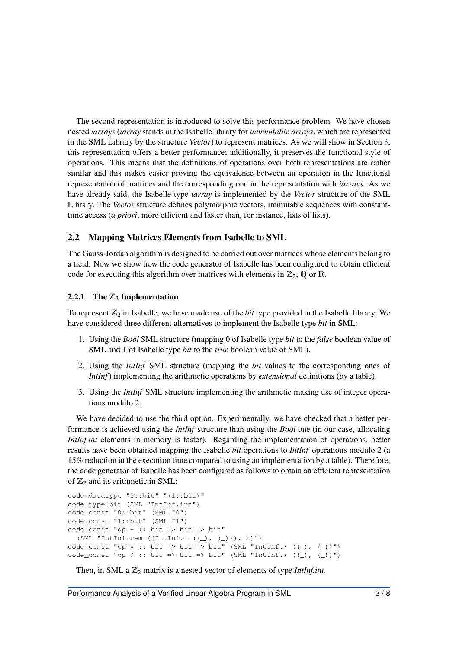The second representation is introduced to solve this performance problem. We have chosen nested *iarrays* (*iarray* stands in the Isabelle library for *inmmutable arrays*, which are represented in the SML Library by the structure *Vector*) to represent matrices. As we will show in Section [3,](#page-3-0) this representation offers a better performance; additionally, it preserves the functional style of operations. This means that the definitions of operations over both representations are rather similar and this makes easier proving the equivalence between an operation in the functional representation of matrices and the corresponding one in the representation with *iarrays*. As we have already said, the Isabelle type *iarray* is implemented by the *Vector* structure of the SML Library. The *Vector* structure defines polymorphic vectors, immutable sequences with constanttime access (*a priori*, more efficient and faster than, for instance, lists of lists).

### 2.2 Mapping Matrices Elements from Isabelle to SML

The Gauss-Jordan algorithm is designed to be carried out over matrices whose elements belong to a field. Now we show how the code generator of Isabelle has been configured to obtain efficient code for executing this algorithm over matrices with elements in  $\mathbb{Z}_2$ , Q or R.

#### 2.2.1 The  $\mathbb{Z}_2$  Implementation

To represent  $\mathbb{Z}_2$  in Isabelle, we have made use of the *bit* type provided in the Isabelle library. We have considered three different alternatives to implement the Isabelle type *bit* in SML:

- 1. Using the *Bool* SML structure (mapping 0 of Isabelle type *bit* to the *false* boolean value of SML and 1 of Isabelle type *bit* to the *true* boolean value of SML).
- 2. Using the *IntInf* SML structure (mapping the *bit* values to the corresponding ones of *IntInf*) implementing the arithmetic operations by *extensional* definitions (by a table).
- 3. Using the *IntInf* SML structure implementing the arithmetic making use of integer operations modulo 2.

We have decided to use the third option. Experimentally, we have checked that a better performance is achieved using the *IntInf* structure than using the *Bool* one (in our case, allocating *IntInf.int* elements in memory is faster). Regarding the implementation of operations, better results have been obtained mapping the Isabelle *bit* operations to *IntInf* operations modulo 2 (a 15% reduction in the execution time compared to using an implementation by a table). Therefore, the code generator of Isabelle has been configured as follows to obtain an efficient representation of  $\mathbb{Z}_2$  and its arithmetic in SML:

```
code_datatype "0::bit" "(1::bit)"
code_type bit (SML "IntInf.int")
code_const "0::bit" (SML "0")
code_const "1::bit" (SML "1")
code\_const "op + :: bit => bit => bit"
  (SML "IntInf.rem ((IntInf.+ ((\_), (\_))), 2)")
code_const "op * :: bit => bit => bit" (SML "IntInf.*(\underline{()}, (\underline{()})")
code_const "op / :: bit => bit => bit" (SML "IntInf.* ((\_), (\_))")
```
Then, in SML a  $\mathbb{Z}_2$  matrix is a nested vector of elements of type *IntInf.int*.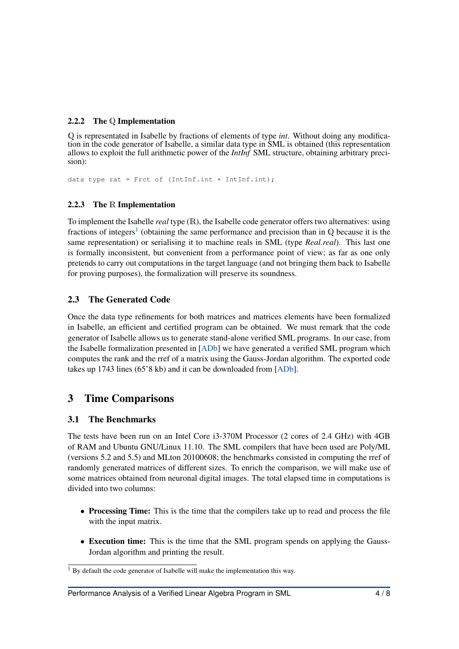#### <span id="page-3-2"></span>2.2.2 The Q Implementation

Q is representated in Isabelle by fractions of elements of type *int*. Without doing any modification in the code generator of Isabelle, a similar data type in SML is obtained (this representation allows to exploit the full arithmetic power of the *IntInf* SML structure, obtaining arbitrary precision):

data type rat = Frct of (IntInf.int \* IntInf.int);

### <span id="page-3-3"></span>2.2.3 The R Implementation

To implement the Isabelle *real* type (R), the Isabelle code generator offers two alternatives: using fractions of integers<sup>[1](#page-3-1)</sup> (obtaining the same performance and precision than in Q because it is the same representation) or serialising it to machine reals in SML (type *Real.real*). This last one is formally inconsistent, but convenient from a performance point of view; as far as one only pretends to carry out computations in the target language (and not bringing them back to Isabelle for proving purposes), the formalization will preserve its soundness.

### 2.3 The Generated Code

Once the data type refinements for both matrices and matrices elements have been formalized in Isabelle, an efficient and certified program can be obtained. We must remark that the code generator of Isabelle allows us to generate stand-alone verified SML programs. In our case, from the Isabelle formalization presented in [\[ADb\]](#page-7-8) we have generated a verified SML program which computes the rank and the rref of a matrix using the Gauss-Jordan algorithm. The exported code takes up 1743 lines (65'8 kb) and it can be downloaded from [\[ADb\]](#page-7-8).

## <span id="page-3-0"></span>3 Time Comparisons

### 3.1 The Benchmarks

The tests have been run on an Intel Core i3-370M Processor (2 cores of 2.4 GHz) with 4GB of RAM and Ubuntu GNU/Linux 11.10. The SML compilers that have been used are Poly/ML (versions 5.2 and 5.5) and MLton 20100608; the benchmarks consisted in computing the rref of randomly generated matrices of different sizes. To enrich the comparison, we will make use of some matrices obtained from neuronal digital images. The total elapsed time in computations is divided into two columns:

- Processing Time: This is the time that the compilers take up to read and process the file with the input matrix.
- Execution time: This is the time that the SML program spends on applying the Gauss-Jordan algorithm and printing the result.

<span id="page-3-1"></span> $1$  By default the code generator of Isabelle will make the implementation this way.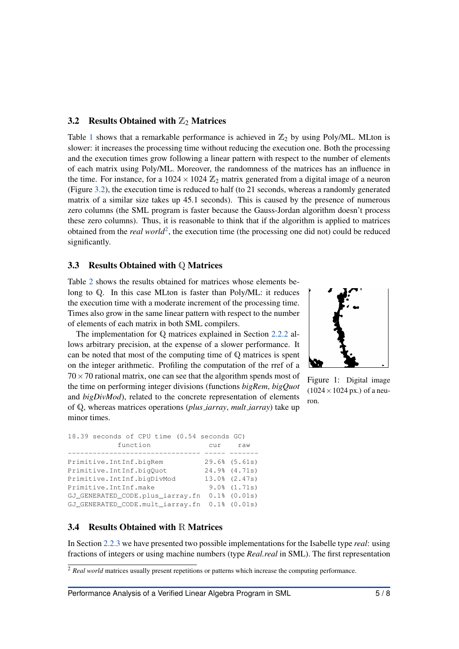#### <span id="page-4-0"></span>3.2 Results Obtained with  $\mathbb{Z}_2$  Matrices

Table [1](#page-5-0) shows that a remarkable performance is achieved in  $\mathbb{Z}_2$  by using Poly/ML. MLton is slower: it increases the processing time without reducing the execution one. Both the processing and the execution times grow following a linear pattern with respect to the number of elements of each matrix using Poly/ML. Moreover, the randomness of the matrices has an influence in the time. For instance, for a  $1024 \times 1024 \mathbb{Z}_2$  matrix generated from a digital image of a neuron (Figure [3.2\)](#page-4-0), the execution time is reduced to half (to 21 seconds, whereas a randomly generated matrix of a similar size takes up 45.1 seconds). This is caused by the presence of numerous zero columns (the SML program is faster because the Gauss-Jordan algorithm doesn't process these zero columns). Thus, it is reasonable to think that if the algorithm is applied to matrices obtained from the *real world*<sup>[2](#page-4-1)</sup>, the execution time (the processing one did not) could be reduced significantly.

#### 3.3 Results Obtained with Q Matrices

Table [2](#page-6-0) shows the results obtained for matrices whose elements belong to Q. In this case MLton is faster than Poly/ML: it reduces the execution time with a moderate increment of the processing time. Times also grow in the same linear pattern with respect to the number of elements of each matrix in both SML compilers.

The implementation for Q matrices explained in Section [2.2.2](#page-3-2) allows arbitrary precision, at the expense of a slower performance. It can be noted that most of the computing time of Q matrices is spent on the integer arithmetic. Profiling the computation of the rref of a  $70 \times 70$  rational matrix, one can see that the algorithm spends most of the time on performing integer divisions (functions *bigRem*, *bigQuot* and *bigDivMod*), related to the concrete representation of elements of Q, whereas matrices operations (*plus iarray*, *mult iarray*) take up minor times.



Figure 1: Digital image  $(1024 \times 1024 \text{ px.})$  of a neuron.

| 18.39 seconds of CPU time (0.54 seconds GC) |     |                    |
|---------------------------------------------|-----|--------------------|
| function                                    | cur | raw                |
|                                             |     |                    |
| Primitive. IntInf.bigRem                    |     | $29.6%$ $(5.61s)$  |
| Primitive.IntInf.bigOuot                    |     | 24.9% (4.71s)      |
| Primitive.IntInf.biqDivMod                  |     | $13.0\%$ $(2.47s)$ |
| Primitive.IntInf.make                       |     | $9.0\%$ $(1.71s)$  |
| GJ_GENERATED_CODE.plus_iarray.fn            |     | $0.1\$ $(0.01s)$   |
| GJ_GENERATED_CODE.mult_iarray.fn            |     | $0.1$ % $(0.01s)$  |

#### 3.4 Results Obtained with R Matrices

In Section [2.2.3](#page-3-3) we have presented two possible implementations for the Isabelle type *real*: using fractions of integers or using machine numbers (type *Real.real* in SML). The first representation

<span id="page-4-1"></span><sup>&</sup>lt;sup>2</sup> *Real world* matrices usually present repetitions or patterns which increase the computing performance.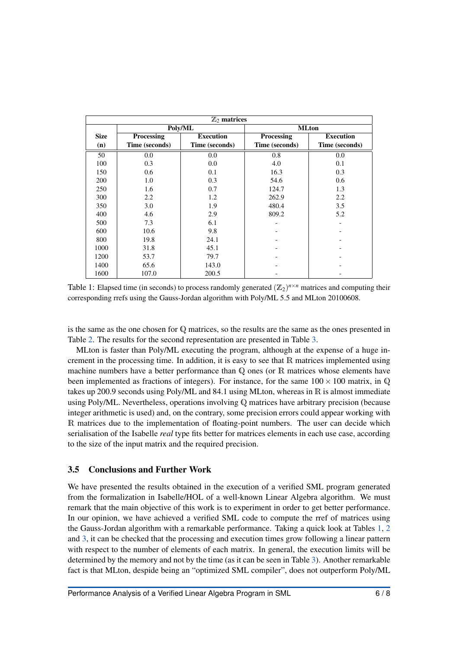<span id="page-5-0"></span>

| $\mathbb{Z}_2$ matrices |                |                  |                |                  |
|-------------------------|----------------|------------------|----------------|------------------|
|                         | Poly/ML        |                  | <b>MLton</b>   |                  |
| <b>Size</b>             | Processing     | <b>Execution</b> | Processing     | <b>Execution</b> |
| (n)                     | Time (seconds) | Time (seconds)   | Time (seconds) | Time (seconds)   |
| 50                      | 0.0            | 0.0              | 0.8            | 0.0              |
| 100                     | 0.3            | 0.0              | 4.0            | 0.1              |
| 150                     | 0.6            | 0.1              | 16.3           | 0.3              |
| 200                     | 1.0            | 0.3              | 54.6           | 0.6              |
| 250                     | 1.6            | 0.7              | 124.7          | 1.3              |
| 300                     | 2.2            | 1.2              | 262.9          | 2.2              |
| 350                     | 3.0            | 1.9              | 480.4          | 3.5              |
| 400                     | 4.6            | 2.9              | 809.2          | 5.2              |
| 500                     | 7.3            | 6.1              |                |                  |
| 600                     | 10.6           | 9.8              |                |                  |
| 800                     | 19.8           | 24.1             |                |                  |
| 1000                    | 31.8           | 45.1             |                |                  |
| 1200                    | 53.7           | 79.7             |                |                  |
| 1400                    | 65.6           | 143.0            |                |                  |
| 1600                    | 107.0          | 200.5            |                |                  |

Table 1: Elapsed time (in seconds) to process randomly generated  $(\mathbb{Z}_2)^{n \times n}$  matrices and computing their corresponding rrefs using the Gauss-Jordan algorithm with Poly/ML 5.5 and MLton 20100608.

is the same as the one chosen for Q matrices, so the results are the same as the ones presented in Table [2.](#page-6-0) The results for the second representation are presented in Table [3.](#page-6-1)

MLton is faster than Poly/ML executing the program, although at the expense of a huge increment in the processing time. In addition, it is easy to see that R matrices implemented using machine numbers have a better performance than Q ones (or R matrices whose elements have been implemented as fractions of integers). For instance, for the same  $100 \times 100$  matrix, in Q takes up 200.9 seconds using Poly/ML and 84.1 using MLton, whereas in R is almost immediate using Poly/ML. Nevertheless, operations involving Q matrices have arbitrary precision (because integer arithmetic is used) and, on the contrary, some precision errors could appear working with R matrices due to the implementation of floating-point numbers. The user can decide which serialisation of the Isabelle *real* type fits better for matrices elements in each use case, according to the size of the input matrix and the required precision.

#### 3.5 Conclusions and Further Work

We have presented the results obtained in the execution of a verified SML program generated from the formalization in Isabelle/HOL of a well-known Linear Algebra algorithm. We must remark that the main objective of this work is to experiment in order to get better performance. In our opinion, we have achieved a verified SML code to compute the rref of matrices using the Gauss-Jordan algorithm with a remarkable performance. Taking a quick look at Tables [1,](#page-5-0) [2](#page-6-0) and [3,](#page-6-1) it can be checked that the processing and execution times grow following a linear pattern with respect to the number of elements of each matrix. In general, the execution limits will be determined by the memory and not by the time (as it can be seen in Table [3\)](#page-6-1). Another remarkable fact is that MLton, despide being an "optimized SML compiler", does not outperform Poly/ML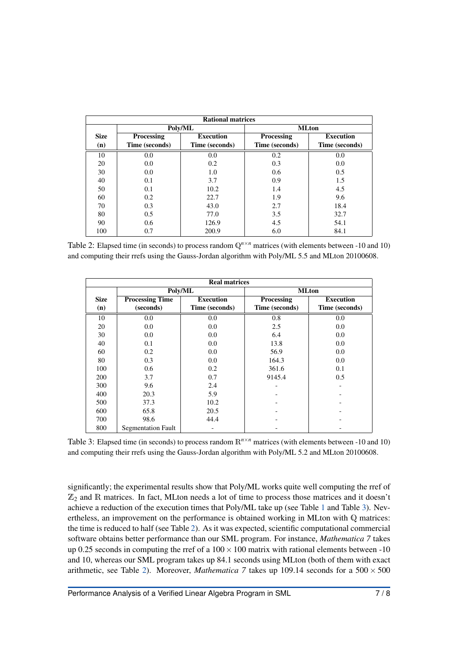<span id="page-6-0"></span>

| <b>Rational matrices</b> |                |                  |                   |                  |  |
|--------------------------|----------------|------------------|-------------------|------------------|--|
|                          | Poly/ML        |                  | <b>MLton</b>      |                  |  |
| <b>Size</b>              | Processing     | <b>Execution</b> | <b>Processing</b> | <b>Execution</b> |  |
| (n)                      | Time (seconds) | Time (seconds)   | Time (seconds)    | Time (seconds)   |  |
| 10                       | 0.0            | 0.0              | 0.2               | 0.0              |  |
| 20                       | 0.0            | 0.2              | 0.3               | 0.0              |  |
| 30                       | 0.0            | 1.0              | 0.6               | 0.5              |  |
| 40                       | 0.1            | 3.7              | 0.9               | 1.5              |  |
| 50                       | 0.1            | 10.2             | 1.4               | 4.5              |  |
| 60                       | 0.2            | 22.7             | 1.9               | 9.6              |  |
| 70                       | 0.3            | 43.0             | 2.7               | 18.4             |  |
| 80                       | 0.5            | 77.0             | 3.5               | 32.7             |  |
| 90                       | 0.6            | 126.9            | 4.5               | 54.1             |  |
| 100                      | 0.7            | 200.9            | 6.0               | 84.1             |  |

Table 2: Elapsed time (in seconds) to process random  $\mathbb{Q}^{n \times n}$  matrices (with elements between -10 and 10) and computing their rrefs using the Gauss-Jordan algorithm with Poly/ML 5.5 and MLton 20100608.

<span id="page-6-1"></span>

| <b>Real matrices</b> |                           |                  |                |                  |
|----------------------|---------------------------|------------------|----------------|------------------|
|                      | Poly/ML                   |                  | <b>MLton</b>   |                  |
| <b>Size</b>          | <b>Processing Time</b>    | <b>Execution</b> | Processing     | <b>Execution</b> |
| (n)                  | (seconds)                 | Time (seconds)   | Time (seconds) | Time (seconds)   |
| 10                   | 0.0                       | 0.0              | 0.8            | 0.0              |
| 20                   | 0.0                       | 0.0              | 2.5            | 0.0              |
| 30                   | 0.0                       | 0.0              | 6.4            | 0.0              |
| 40                   | 0.1                       | 0.0              | 13.8           | 0.0              |
| 60                   | 0.2                       | 0.0              | 56.9           | 0.0              |
| 80                   | 0.3                       | 0.0              | 164.3          | 0.0              |
| 100                  | 0.6                       | 0.2              | 361.6          | 0.1              |
| 200                  | 3.7                       | 0.7              | 9145.4         | 0.5              |
| 300                  | 9.6                       | 2.4              |                | -                |
| 400                  | 20.3                      | 5.9              |                |                  |
| 500                  | 37.3                      | 10.2             |                |                  |
| 600                  | 65.8                      | 20.5             |                |                  |
| 700                  | 98.6                      | 44.4             |                |                  |
| 800                  | <b>Segmentation Fault</b> |                  |                |                  |

Table 3: Elapsed time (in seconds) to process random  $\mathbb{R}^{n \times n}$  matrices (with elements between -10 and 10) and computing their rrefs using the Gauss-Jordan algorithm with Poly/ML 5.2 and MLton 20100608.

significantly; the experimental results show that Poly/ML works quite well computing the rref of  $\mathbb{Z}_2$  and R matrices. In fact, MLton needs a lot of time to process those matrices and it doesn't achieve a reduction of the execution times that Poly/ML take up (see Table [1](#page-5-0) and Table [3\)](#page-6-1). Nevertheless, an improvement on the performance is obtained working in MLton with Q matrices: the time is reduced to half (see Table [2\)](#page-6-0). As it was expected, scientific computational commercial software obtains better performance than our SML program. For instance, *Mathematica 7* takes up 0.25 seconds in computing the rref of a  $100 \times 100$  matrix with rational elements between -10 and 10, whereas our SML program takes up 84.1 seconds using MLton (both of them with exact arithmetic, see Table [2\)](#page-6-0). Moreover, *Mathematica* 7 takes up 109.14 seconds for a  $500 \times 500$